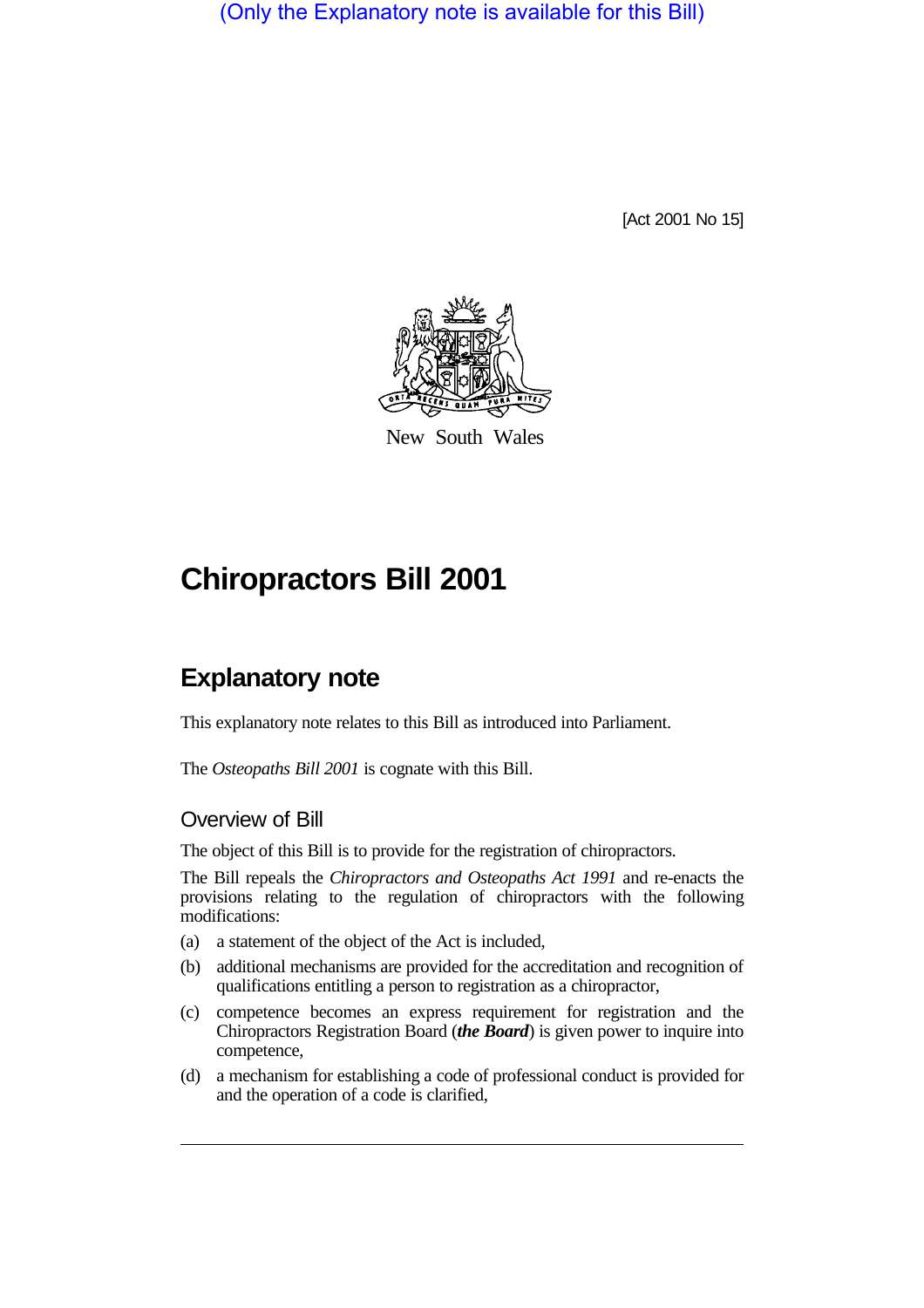(Only the Explanatory note is available for this Bill)

[Act 2001 No 15]



New South Wales

# **Chiropractors Bill 2001**

# **Explanatory note**

This explanatory note relates to this Bill as introduced into Parliament.

The *Osteopaths Bill 2001* is cognate with this Bill.

# Overview of Bill

The object of this Bill is to provide for the registration of chiropractors.

The Bill repeals the *Chiropractors and Osteopaths Act 1991* and re-enacts the provisions relating to the regulation of chiropractors with the following modifications:

- (a) a statement of the object of the Act is included,
- (b) additional mechanisms are provided for the accreditation and recognition of qualifications entitling a person to registration as a chiropractor,
- (c) competence becomes an express requirement for registration and the Chiropractors Registration Board (*the Board*) is given power to inquire into competence,
- (d) a mechanism for establishing a code of professional conduct is provided for and the operation of a code is clarified,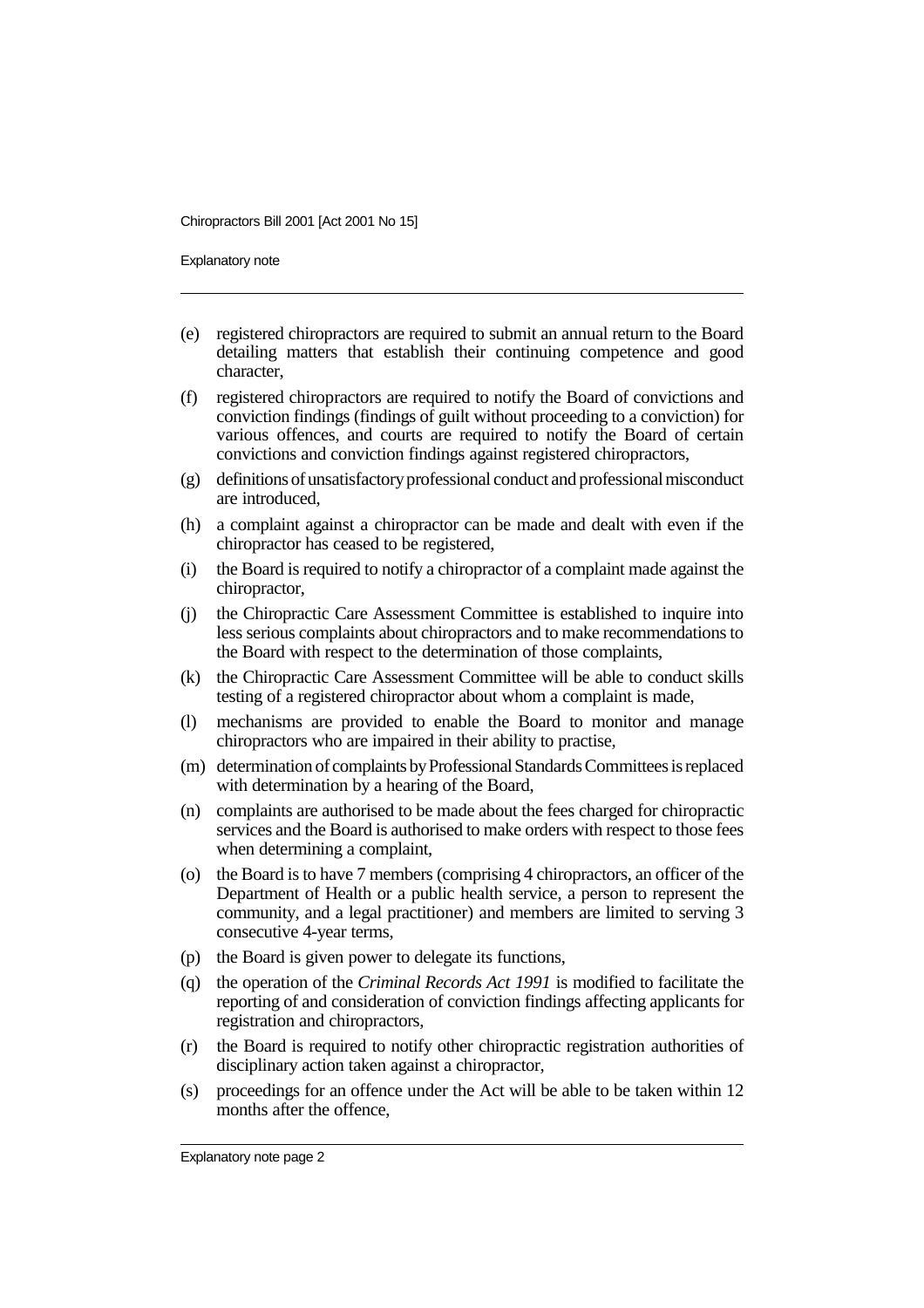Explanatory note

- (e) registered chiropractors are required to submit an annual return to the Board detailing matters that establish their continuing competence and good character,
- (f) registered chiropractors are required to notify the Board of convictions and conviction findings (findings of guilt without proceeding to a conviction) for various offences, and courts are required to notify the Board of certain convictions and conviction findings against registered chiropractors,
- (g) definitions of unsatisfactory professional conduct and professional misconduct are introduced,
- (h) a complaint against a chiropractor can be made and dealt with even if the chiropractor has ceased to be registered,
- (i) the Board is required to notify a chiropractor of a complaint made against the chiropractor,
- (j) the Chiropractic Care Assessment Committee is established to inquire into less serious complaints about chiropractors and to make recommendations to the Board with respect to the determination of those complaints,
- (k) the Chiropractic Care Assessment Committee will be able to conduct skills testing of a registered chiropractor about whom a complaint is made,
- (l) mechanisms are provided to enable the Board to monitor and manage chiropractors who are impaired in their ability to practise,
- (m) determination of complaints by Professional Standards Committees is replaced with determination by a hearing of the Board,
- (n) complaints are authorised to be made about the fees charged for chiropractic services and the Board is authorised to make orders with respect to those fees when determining a complaint,
- (o) the Board is to have 7 members (comprising 4 chiropractors, an officer of the Department of Health or a public health service, a person to represent the community, and a legal practitioner) and members are limited to serving 3 consecutive 4-year terms,
- (p) the Board is given power to delegate its functions,
- (q) the operation of the *Criminal Records Act 1991* is modified to facilitate the reporting of and consideration of conviction findings affecting applicants for registration and chiropractors,
- (r) the Board is required to notify other chiropractic registration authorities of disciplinary action taken against a chiropractor,
- (s) proceedings for an offence under the Act will be able to be taken within 12 months after the offence,

Explanatory note page 2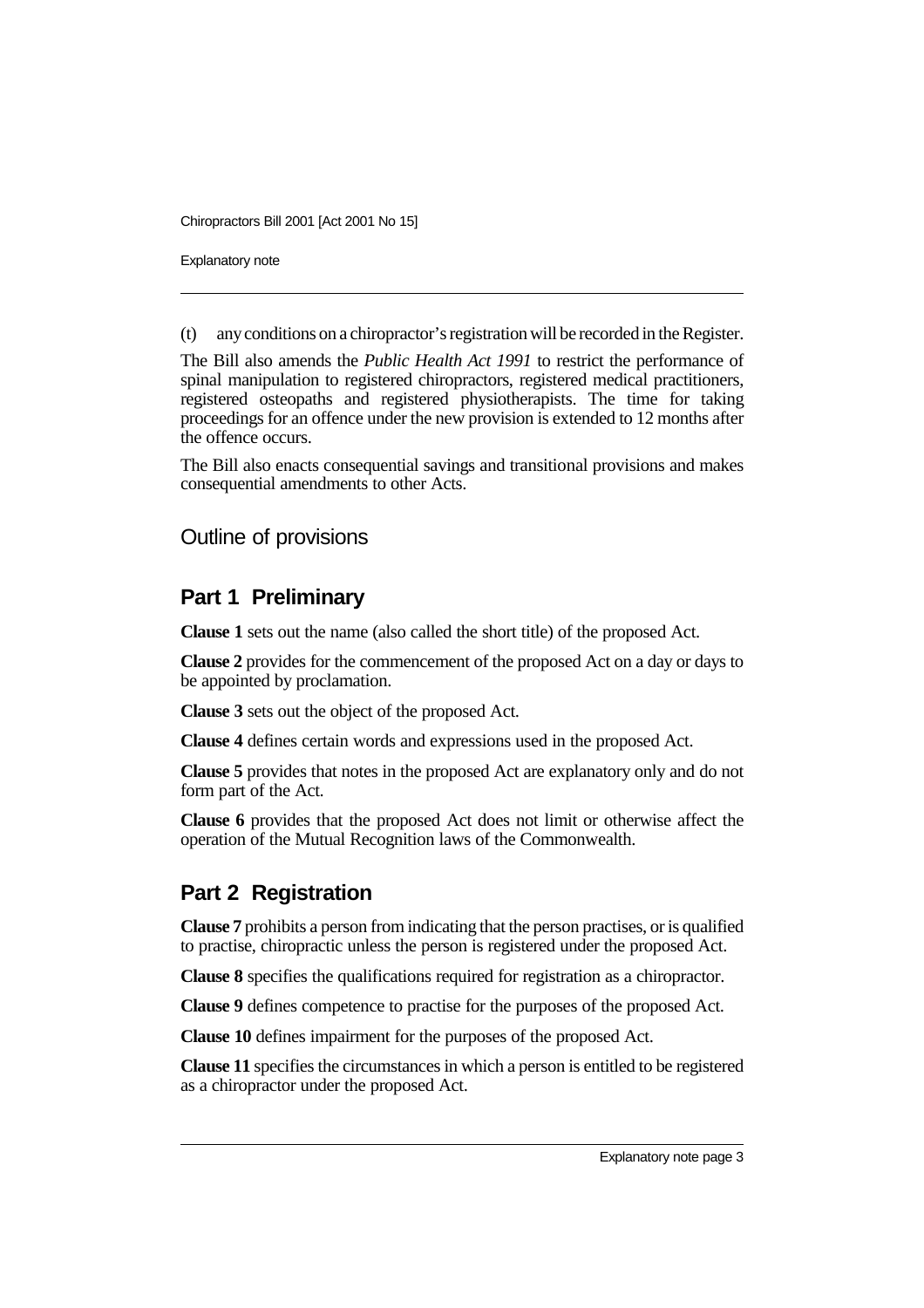Explanatory note

(t) any conditions on a chiropractor's registration will be recorded in the Register.

The Bill also amends the *Public Health Act 1991* to restrict the performance of spinal manipulation to registered chiropractors, registered medical practitioners, registered osteopaths and registered physiotherapists. The time for taking proceedings for an offence under the new provision is extended to 12 months after the offence occurs.

The Bill also enacts consequential savings and transitional provisions and makes consequential amendments to other Acts.

## Outline of provisions

## **Part 1 Preliminary**

**Clause 1** sets out the name (also called the short title) of the proposed Act.

**Clause 2** provides for the commencement of the proposed Act on a day or days to be appointed by proclamation.

**Clause 3** sets out the object of the proposed Act.

**Clause 4** defines certain words and expressions used in the proposed Act.

**Clause 5** provides that notes in the proposed Act are explanatory only and do not form part of the Act.

**Clause 6** provides that the proposed Act does not limit or otherwise affect the operation of the Mutual Recognition laws of the Commonwealth.

## **Part 2 Registration**

**Clause 7** prohibits a person from indicating that the person practises, or is qualified to practise, chiropractic unless the person is registered under the proposed Act.

**Clause 8** specifies the qualifications required for registration as a chiropractor.

**Clause 9** defines competence to practise for the purposes of the proposed Act.

**Clause 10** defines impairment for the purposes of the proposed Act.

**Clause 11** specifies the circumstances in which a person is entitled to be registered as a chiropractor under the proposed Act.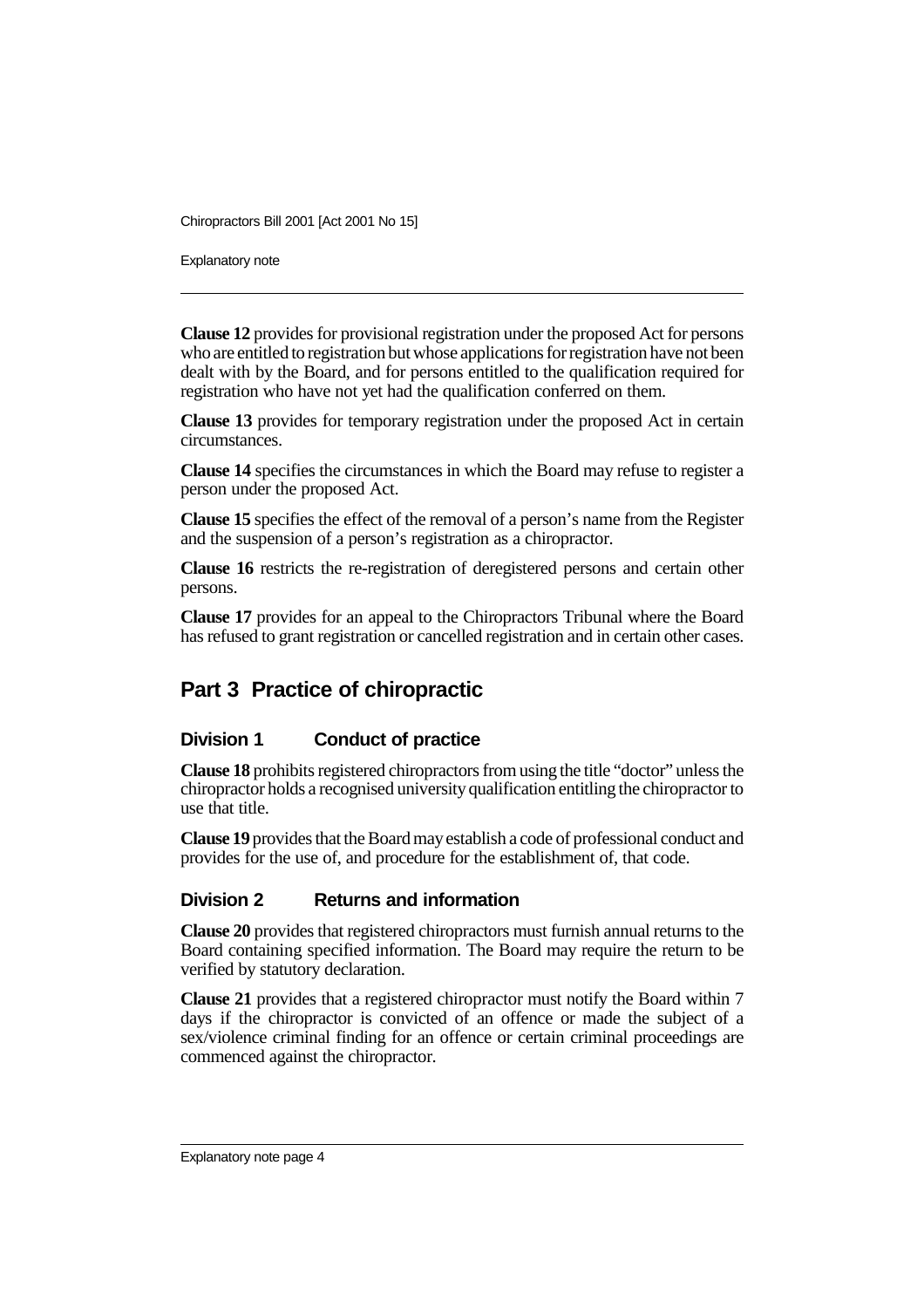Explanatory note

**Clause 12** provides for provisional registration under the proposed Act for persons who are entitled to registration but whose applications for registration have not been dealt with by the Board, and for persons entitled to the qualification required for registration who have not yet had the qualification conferred on them.

**Clause 13** provides for temporary registration under the proposed Act in certain circumstances.

**Clause 14** specifies the circumstances in which the Board may refuse to register a person under the proposed Act.

**Clause 15** specifies the effect of the removal of a person's name from the Register and the suspension of a person's registration as a chiropractor.

**Clause 16** restricts the re-registration of deregistered persons and certain other persons.

**Clause 17** provides for an appeal to the Chiropractors Tribunal where the Board has refused to grant registration or cancelled registration and in certain other cases.

# **Part 3 Practice of chiropractic**

#### **Division 1 Conduct of practice**

**Clause 18** prohibits registered chiropractors from using the title "doctor" unless the chiropractor holds a recognised university qualification entitling the chiropractor to use that title.

**Clause 19** provides that the Board may establish a code of professional conduct and provides for the use of, and procedure for the establishment of, that code.

#### **Division 2 Returns and information**

**Clause 20** provides that registered chiropractors must furnish annual returns to the Board containing specified information. The Board may require the return to be verified by statutory declaration.

**Clause 21** provides that a registered chiropractor must notify the Board within 7 days if the chiropractor is convicted of an offence or made the subject of a sex/violence criminal finding for an offence or certain criminal proceedings are commenced against the chiropractor.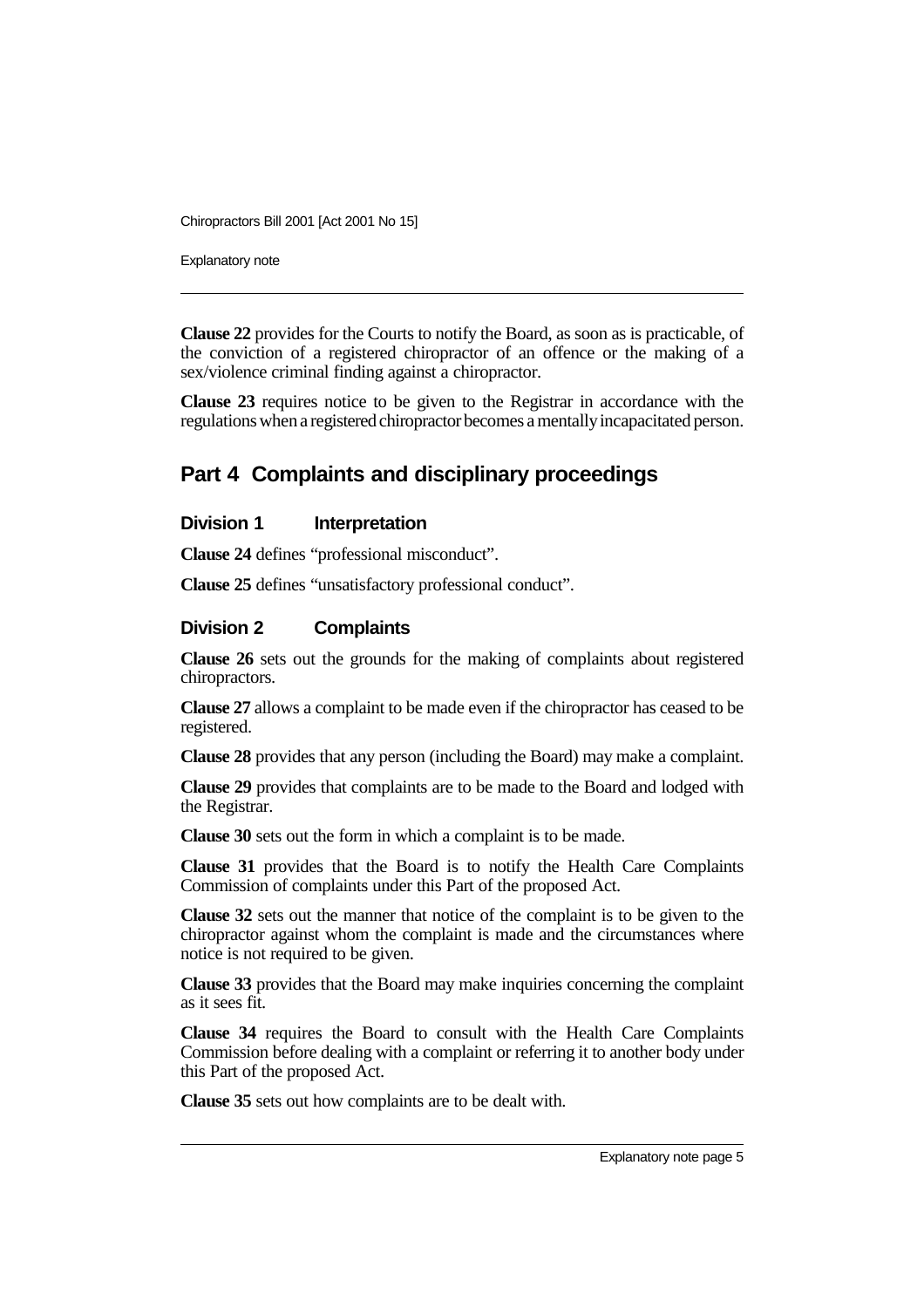Explanatory note

**Clause 22** provides for the Courts to notify the Board, as soon as is practicable, of the conviction of a registered chiropractor of an offence or the making of a sex/violence criminal finding against a chiropractor.

**Clause 23** requires notice to be given to the Registrar in accordance with the regulations when a registered chiropractor becomes a mentally incapacitated person.

# **Part 4 Complaints and disciplinary proceedings**

#### **Division 1** Interpretation

**Clause 24** defines "professional misconduct".

**Clause 25** defines "unsatisfactory professional conduct".

#### **Division 2 Complaints**

**Clause 26** sets out the grounds for the making of complaints about registered chiropractors.

**Clause 27** allows a complaint to be made even if the chiropractor has ceased to be registered.

**Clause 28** provides that any person (including the Board) may make a complaint.

**Clause 29** provides that complaints are to be made to the Board and lodged with the Registrar.

**Clause 30** sets out the form in which a complaint is to be made.

**Clause 31** provides that the Board is to notify the Health Care Complaints Commission of complaints under this Part of the proposed Act.

**Clause 32** sets out the manner that notice of the complaint is to be given to the chiropractor against whom the complaint is made and the circumstances where notice is not required to be given.

**Clause 33** provides that the Board may make inquiries concerning the complaint as it sees fit.

**Clause 34** requires the Board to consult with the Health Care Complaints Commission before dealing with a complaint or referring it to another body under this Part of the proposed Act.

**Clause 35** sets out how complaints are to be dealt with.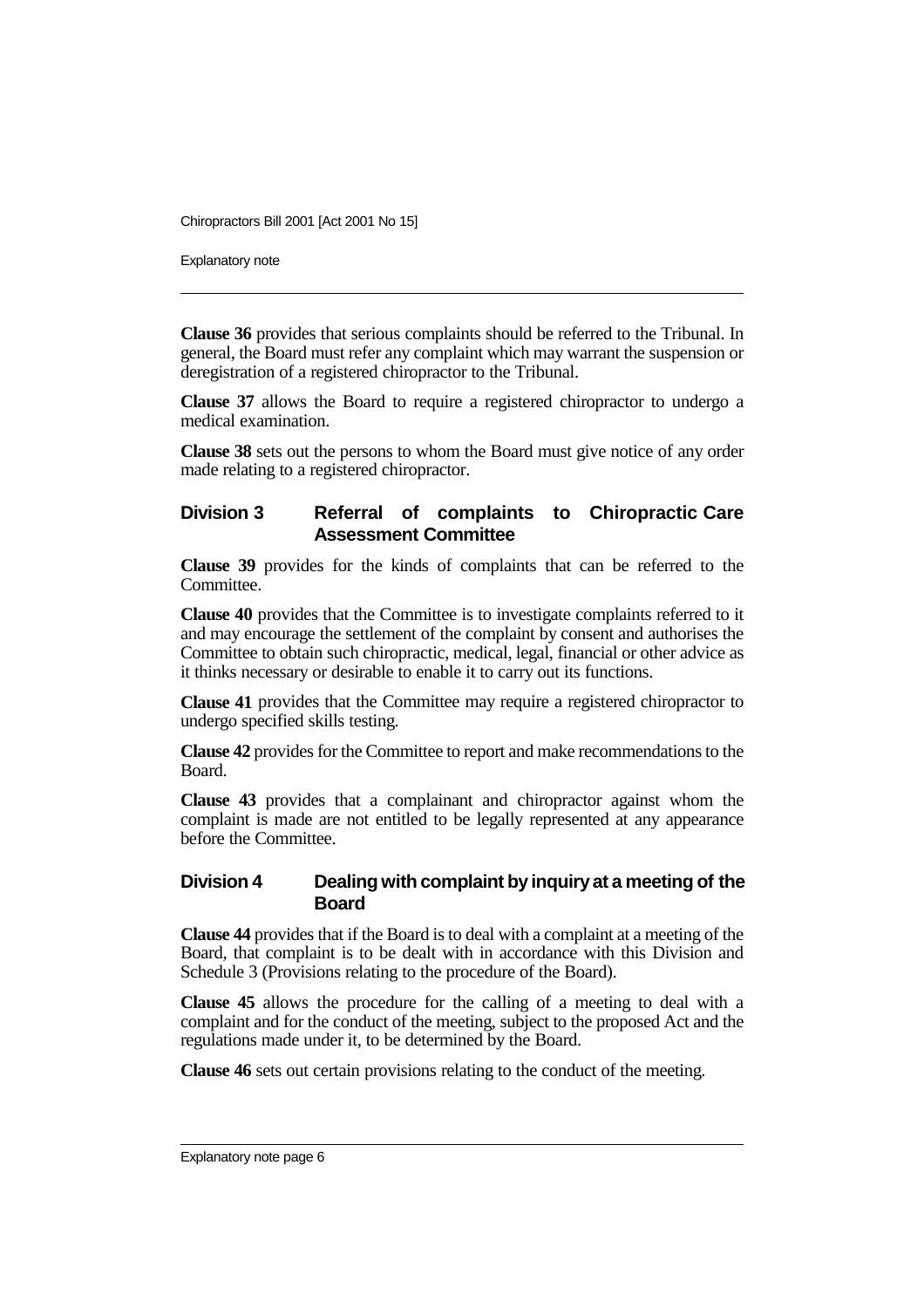Explanatory note

**Clause 36** provides that serious complaints should be referred to the Tribunal. In general, the Board must refer any complaint which may warrant the suspension or deregistration of a registered chiropractor to the Tribunal.

**Clause 37** allows the Board to require a registered chiropractor to undergo a medical examination.

**Clause 38** sets out the persons to whom the Board must give notice of any order made relating to a registered chiropractor.

## **Division 3 Referral of complaints to Chiropractic Care Assessment Committee**

**Clause 39** provides for the kinds of complaints that can be referred to the Committee.

**Clause 40** provides that the Committee is to investigate complaints referred to it and may encourage the settlement of the complaint by consent and authorises the Committee to obtain such chiropractic, medical, legal, financial or other advice as it thinks necessary or desirable to enable it to carry out its functions.

**Clause 41** provides that the Committee may require a registered chiropractor to undergo specified skills testing.

**Clause 42** provides for the Committee to report and make recommendations to the Board.

**Clause 43** provides that a complainant and chiropractor against whom the complaint is made are not entitled to be legally represented at any appearance before the Committee.

#### **Division 4 Dealing with complaint by inquiry at a meeting of the Board**

**Clause 44** provides that if the Board is to deal with a complaint at a meeting of the Board, that complaint is to be dealt with in accordance with this Division and Schedule 3 (Provisions relating to the procedure of the Board).

**Clause 45** allows the procedure for the calling of a meeting to deal with a complaint and for the conduct of the meeting, subject to the proposed Act and the regulations made under it, to be determined by the Board.

**Clause 46** sets out certain provisions relating to the conduct of the meeting.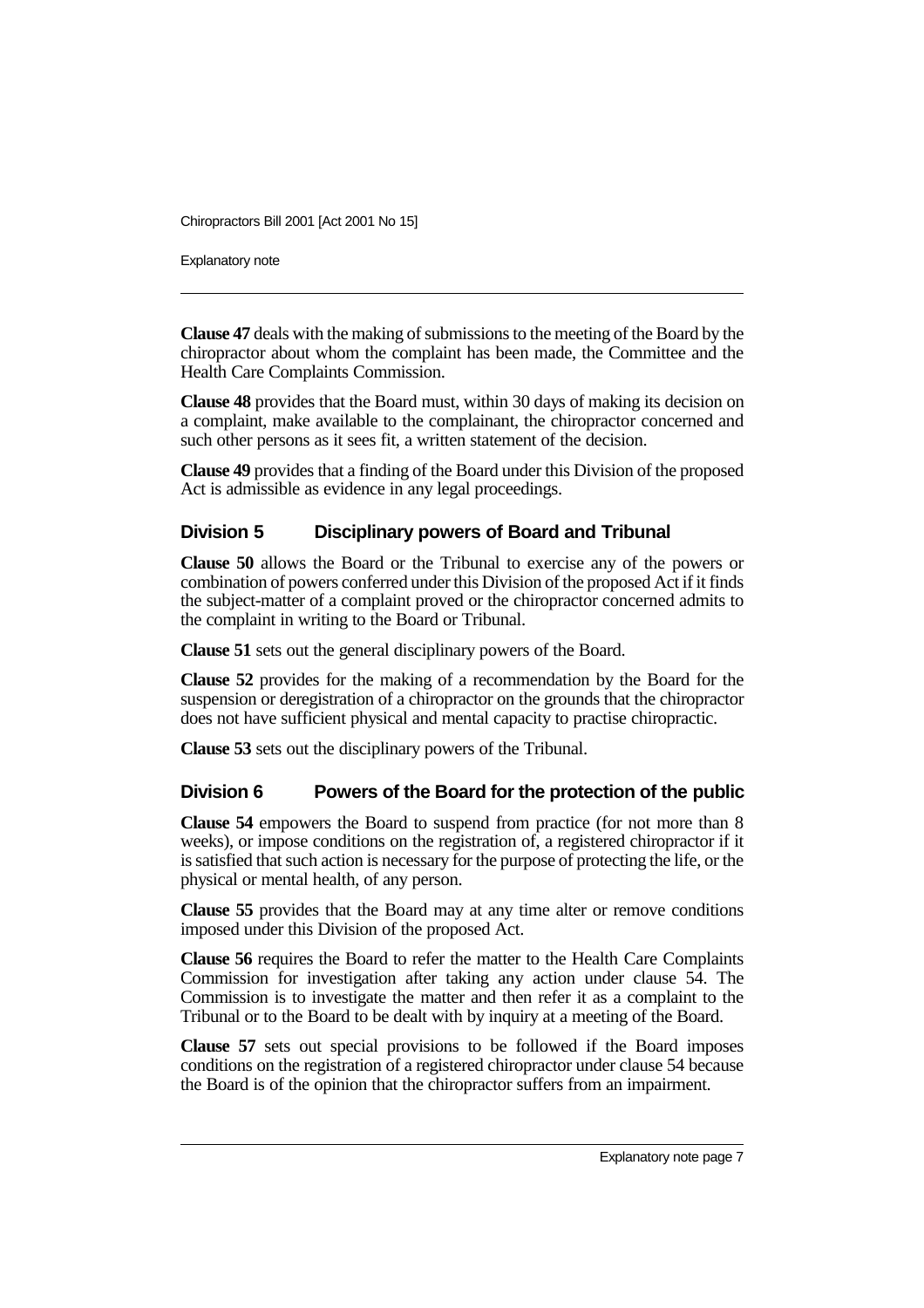Explanatory note

**Clause 47** deals with the making of submissions to the meeting of the Board by the chiropractor about whom the complaint has been made, the Committee and the Health Care Complaints Commission.

**Clause 48** provides that the Board must, within 30 days of making its decision on a complaint, make available to the complainant, the chiropractor concerned and such other persons as it sees fit, a written statement of the decision.

**Clause 49** provides that a finding of the Board under this Division of the proposed Act is admissible as evidence in any legal proceedings.

## **Division 5 Disciplinary powers of Board and Tribunal**

**Clause 50** allows the Board or the Tribunal to exercise any of the powers or combination of powers conferred under this Division of the proposed Act if it finds the subject-matter of a complaint proved or the chiropractor concerned admits to the complaint in writing to the Board or Tribunal.

**Clause 51** sets out the general disciplinary powers of the Board.

**Clause 52** provides for the making of a recommendation by the Board for the suspension or deregistration of a chiropractor on the grounds that the chiropractor does not have sufficient physical and mental capacity to practise chiropractic.

**Clause 53** sets out the disciplinary powers of the Tribunal.

## **Division 6 Powers of the Board for the protection of the public**

**Clause 54** empowers the Board to suspend from practice (for not more than 8 weeks), or impose conditions on the registration of, a registered chiropractor if it is satisfied that such action is necessary for the purpose of protecting the life, or the physical or mental health, of any person.

**Clause 55** provides that the Board may at any time alter or remove conditions imposed under this Division of the proposed Act.

**Clause 56** requires the Board to refer the matter to the Health Care Complaints Commission for investigation after taking any action under clause 54. The Commission is to investigate the matter and then refer it as a complaint to the Tribunal or to the Board to be dealt with by inquiry at a meeting of the Board.

**Clause 57** sets out special provisions to be followed if the Board imposes conditions on the registration of a registered chiropractor under clause 54 because the Board is of the opinion that the chiropractor suffers from an impairment.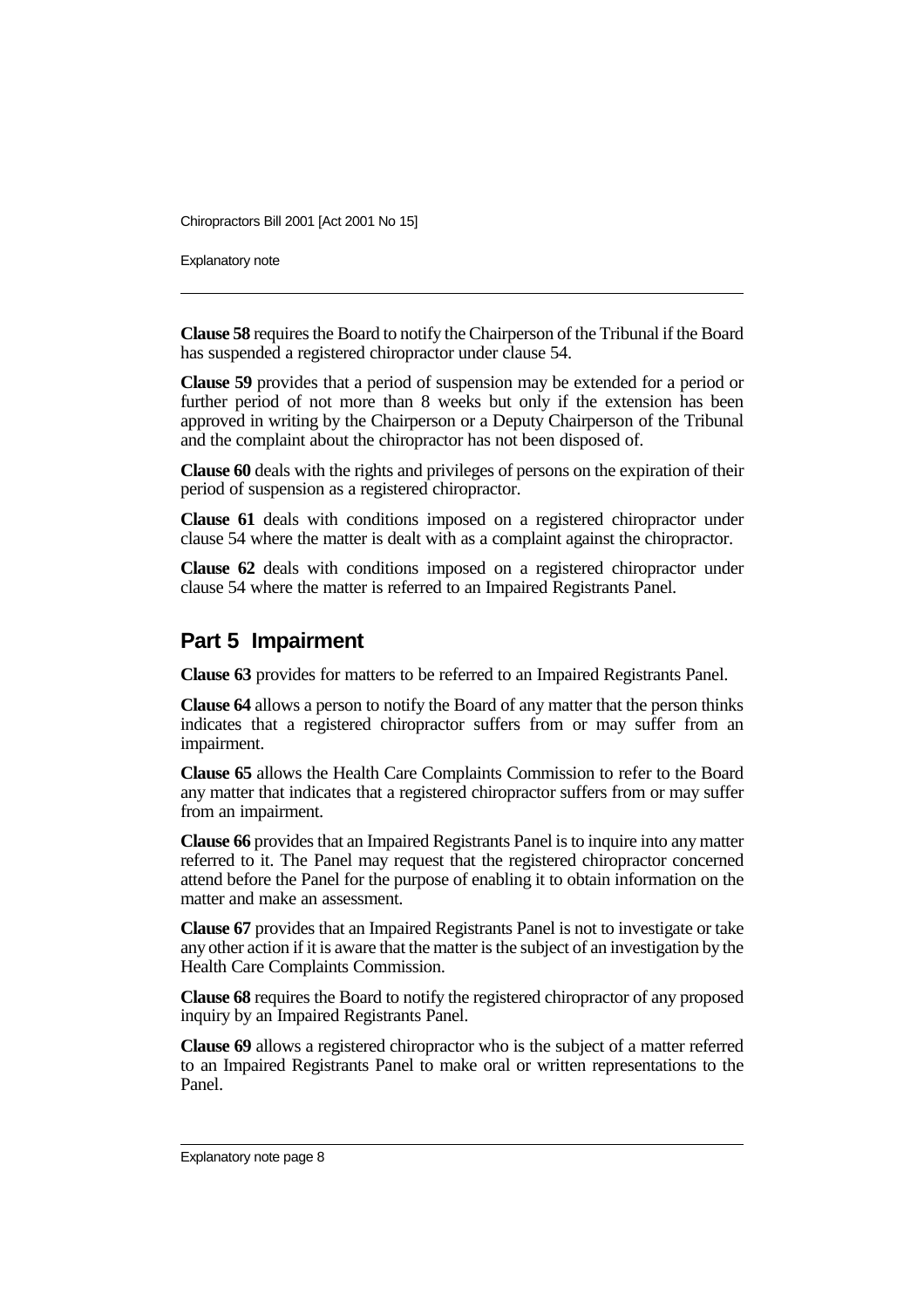Explanatory note

**Clause 58** requires the Board to notify the Chairperson of the Tribunal if the Board has suspended a registered chiropractor under clause 54.

**Clause 59** provides that a period of suspension may be extended for a period or further period of not more than 8 weeks but only if the extension has been approved in writing by the Chairperson or a Deputy Chairperson of the Tribunal and the complaint about the chiropractor has not been disposed of.

**Clause 60** deals with the rights and privileges of persons on the expiration of their period of suspension as a registered chiropractor.

**Clause 61** deals with conditions imposed on a registered chiropractor under clause 54 where the matter is dealt with as a complaint against the chiropractor.

**Clause 62** deals with conditions imposed on a registered chiropractor under clause 54 where the matter is referred to an Impaired Registrants Panel.

## **Part 5 Impairment**

**Clause 63** provides for matters to be referred to an Impaired Registrants Panel.

**Clause 64** allows a person to notify the Board of any matter that the person thinks indicates that a registered chiropractor suffers from or may suffer from an impairment.

**Clause 65** allows the Health Care Complaints Commission to refer to the Board any matter that indicates that a registered chiropractor suffers from or may suffer from an impairment.

**Clause 66** provides that an Impaired Registrants Panel is to inquire into any matter referred to it. The Panel may request that the registered chiropractor concerned attend before the Panel for the purpose of enabling it to obtain information on the matter and make an assessment.

**Clause 67** provides that an Impaired Registrants Panel is not to investigate or take any other action if it is aware that the matter is the subject of an investigation by the Health Care Complaints Commission.

**Clause 68** requires the Board to notify the registered chiropractor of any proposed inquiry by an Impaired Registrants Panel.

**Clause 69** allows a registered chiropractor who is the subject of a matter referred to an Impaired Registrants Panel to make oral or written representations to the Panel.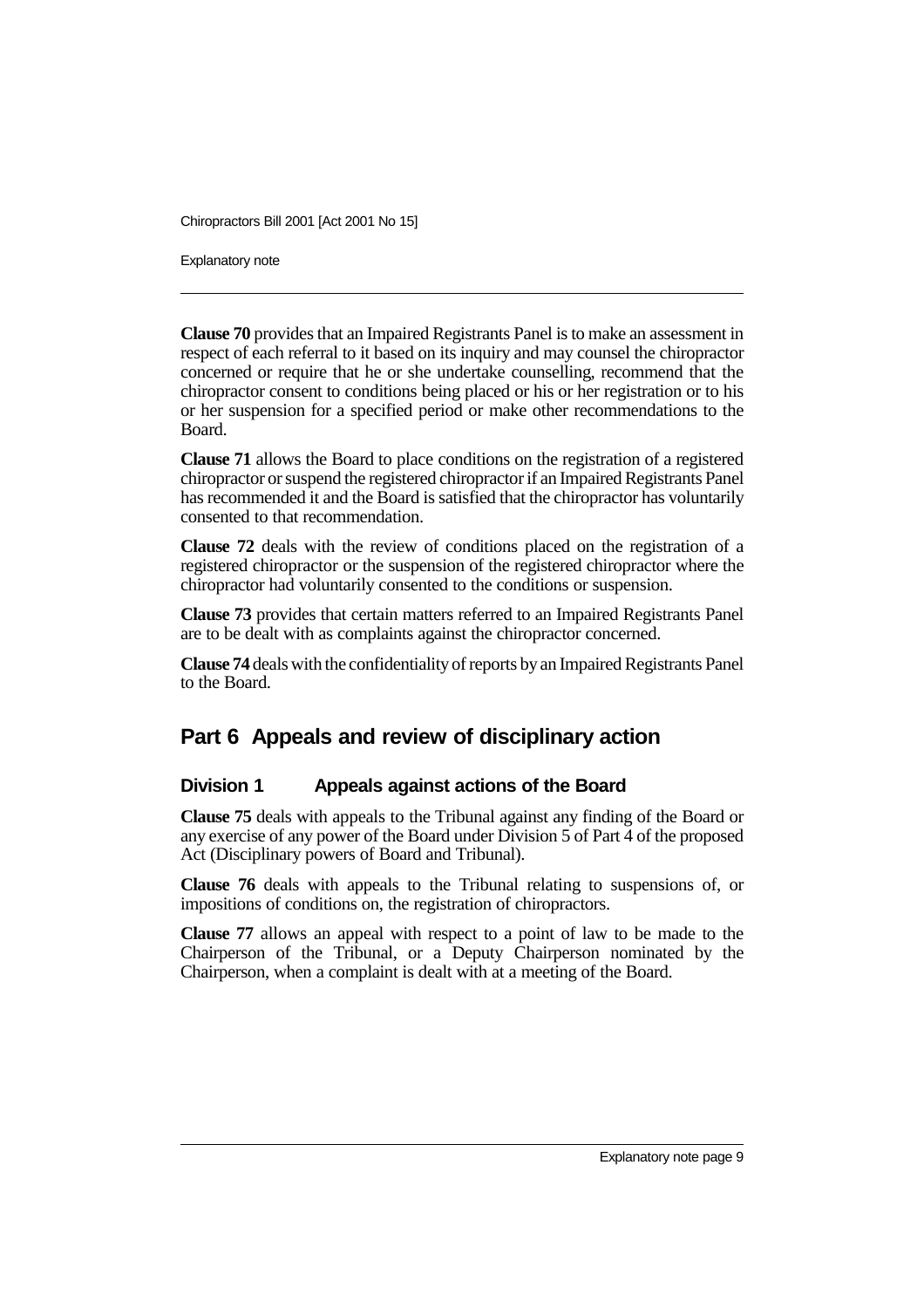Explanatory note

**Clause 70** provides that an Impaired Registrants Panel is to make an assessment in respect of each referral to it based on its inquiry and may counsel the chiropractor concerned or require that he or she undertake counselling, recommend that the chiropractor consent to conditions being placed or his or her registration or to his or her suspension for a specified period or make other recommendations to the Board.

**Clause 71** allows the Board to place conditions on the registration of a registered chiropractor or suspend the registered chiropractor if an Impaired Registrants Panel has recommended it and the Board is satisfied that the chiropractor has voluntarily consented to that recommendation.

**Clause 72** deals with the review of conditions placed on the registration of a registered chiropractor or the suspension of the registered chiropractor where the chiropractor had voluntarily consented to the conditions or suspension.

**Clause 73** provides that certain matters referred to an Impaired Registrants Panel are to be dealt with as complaints against the chiropractor concerned.

**Clause 74** deals with the confidentiality of reports by an Impaired Registrants Panel to the Board.

# **Part 6 Appeals and review of disciplinary action**

## **Division 1 Appeals against actions of the Board**

**Clause 75** deals with appeals to the Tribunal against any finding of the Board or any exercise of any power of the Board under Division 5 of Part 4 of the proposed Act (Disciplinary powers of Board and Tribunal).

**Clause 76** deals with appeals to the Tribunal relating to suspensions of, or impositions of conditions on, the registration of chiropractors.

**Clause 77** allows an appeal with respect to a point of law to be made to the Chairperson of the Tribunal, or a Deputy Chairperson nominated by the Chairperson, when a complaint is dealt with at a meeting of the Board.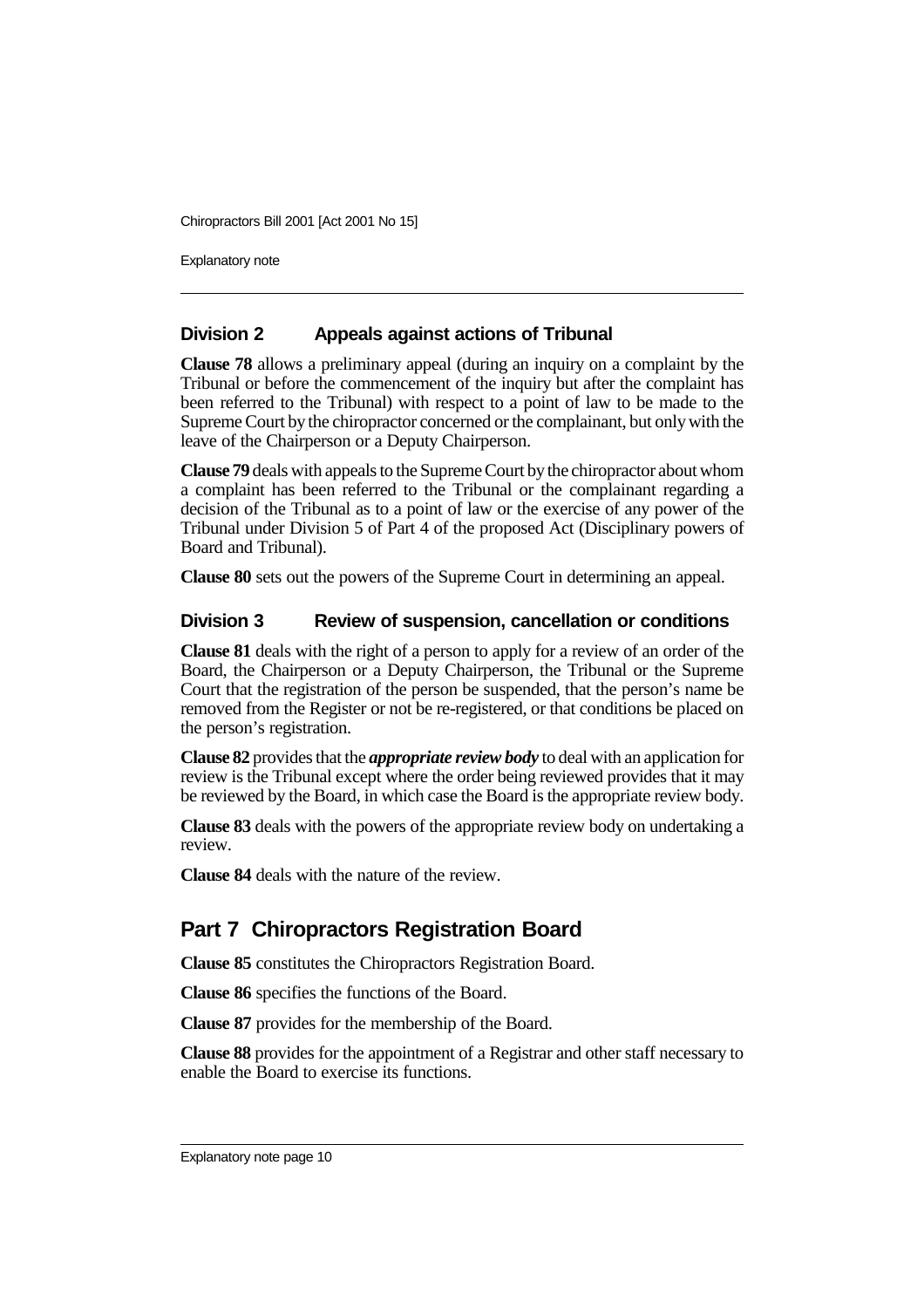Explanatory note

## **Division 2 Appeals against actions of Tribunal**

**Clause 78** allows a preliminary appeal (during an inquiry on a complaint by the Tribunal or before the commencement of the inquiry but after the complaint has been referred to the Tribunal) with respect to a point of law to be made to the Supreme Court by the chiropractor concerned or the complainant, but only with the leave of the Chairperson or a Deputy Chairperson.

**Clause 79** deals with appeals to the Supreme Court by the chiropractor about whom a complaint has been referred to the Tribunal or the complainant regarding a decision of the Tribunal as to a point of law or the exercise of any power of the Tribunal under Division 5 of Part 4 of the proposed Act (Disciplinary powers of Board and Tribunal).

**Clause 80** sets out the powers of the Supreme Court in determining an appeal.

## **Division 3 Review of suspension, cancellation or conditions**

**Clause 81** deals with the right of a person to apply for a review of an order of the Board, the Chairperson or a Deputy Chairperson, the Tribunal or the Supreme Court that the registration of the person be suspended, that the person's name be removed from the Register or not be re-registered, or that conditions be placed on the person's registration.

**Clause 82** provides that the *appropriate review body* to deal with an application for review is the Tribunal except where the order being reviewed provides that it may be reviewed by the Board, in which case the Board is the appropriate review body.

**Clause 83** deals with the powers of the appropriate review body on undertaking a review.

**Clause 84** deals with the nature of the review.

# **Part 7 Chiropractors Registration Board**

**Clause 85** constitutes the Chiropractors Registration Board.

**Clause 86** specifies the functions of the Board.

**Clause 87** provides for the membership of the Board.

**Clause 88** provides for the appointment of a Registrar and other staff necessary to enable the Board to exercise its functions.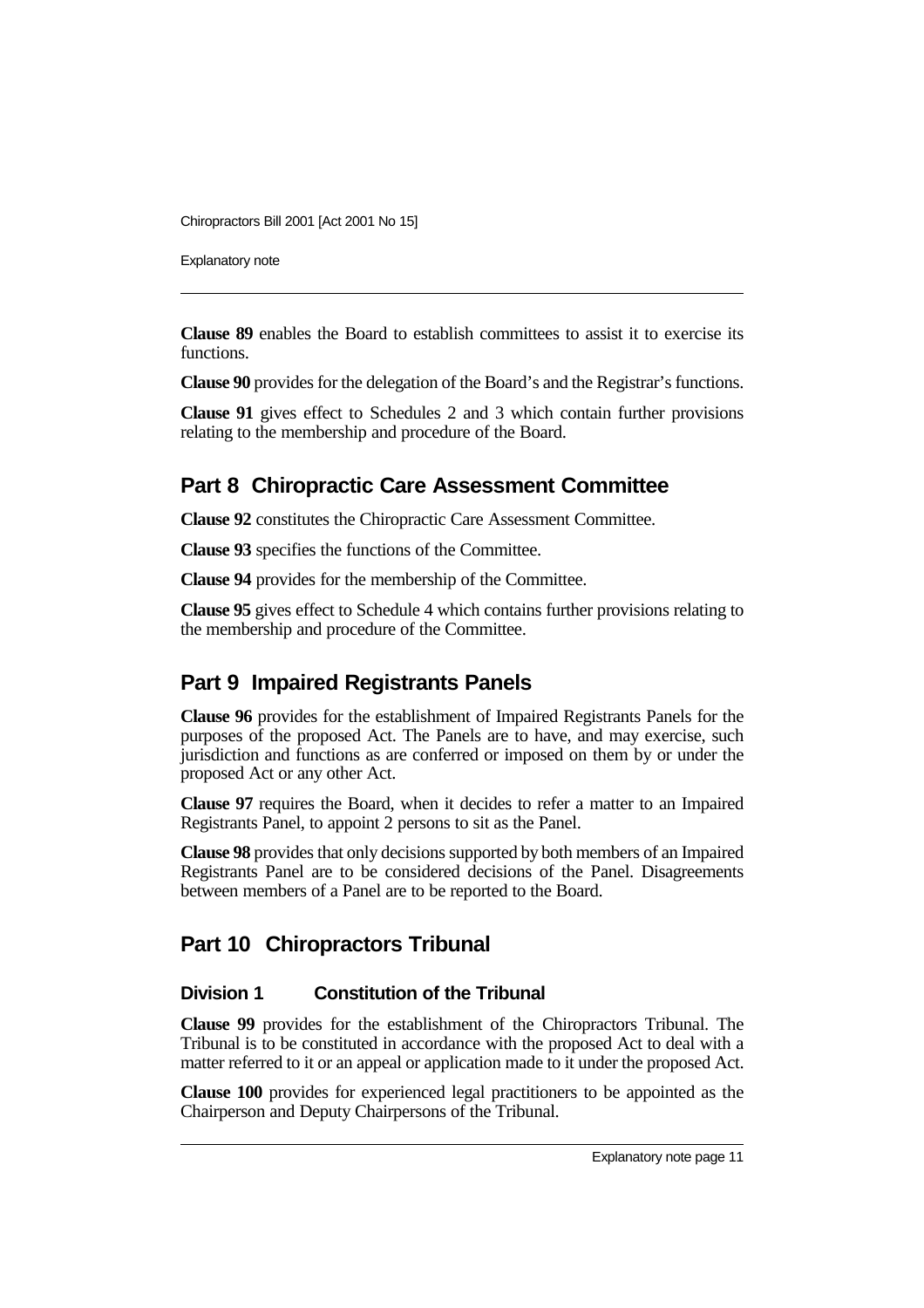Explanatory note

**Clause 89** enables the Board to establish committees to assist it to exercise its functions.

**Clause 90** provides for the delegation of the Board's and the Registrar's functions.

**Clause 91** gives effect to Schedules 2 and 3 which contain further provisions relating to the membership and procedure of the Board.

# **Part 8 Chiropractic Care Assessment Committee**

**Clause 92** constitutes the Chiropractic Care Assessment Committee.

**Clause 93** specifies the functions of the Committee.

**Clause 94** provides for the membership of the Committee.

**Clause 95** gives effect to Schedule 4 which contains further provisions relating to the membership and procedure of the Committee.

# **Part 9 Impaired Registrants Panels**

**Clause 96** provides for the establishment of Impaired Registrants Panels for the purposes of the proposed Act. The Panels are to have, and may exercise, such jurisdiction and functions as are conferred or imposed on them by or under the proposed Act or any other Act.

**Clause 97** requires the Board, when it decides to refer a matter to an Impaired Registrants Panel, to appoint 2 persons to sit as the Panel.

**Clause 98** provides that only decisions supported by both members of an Impaired Registrants Panel are to be considered decisions of the Panel. Disagreements between members of a Panel are to be reported to the Board.

# **Part 10 Chiropractors Tribunal**

# **Division 1 Constitution of the Tribunal**

**Clause 99** provides for the establishment of the Chiropractors Tribunal. The Tribunal is to be constituted in accordance with the proposed Act to deal with a matter referred to it or an appeal or application made to it under the proposed Act.

**Clause 100** provides for experienced legal practitioners to be appointed as the Chairperson and Deputy Chairpersons of the Tribunal.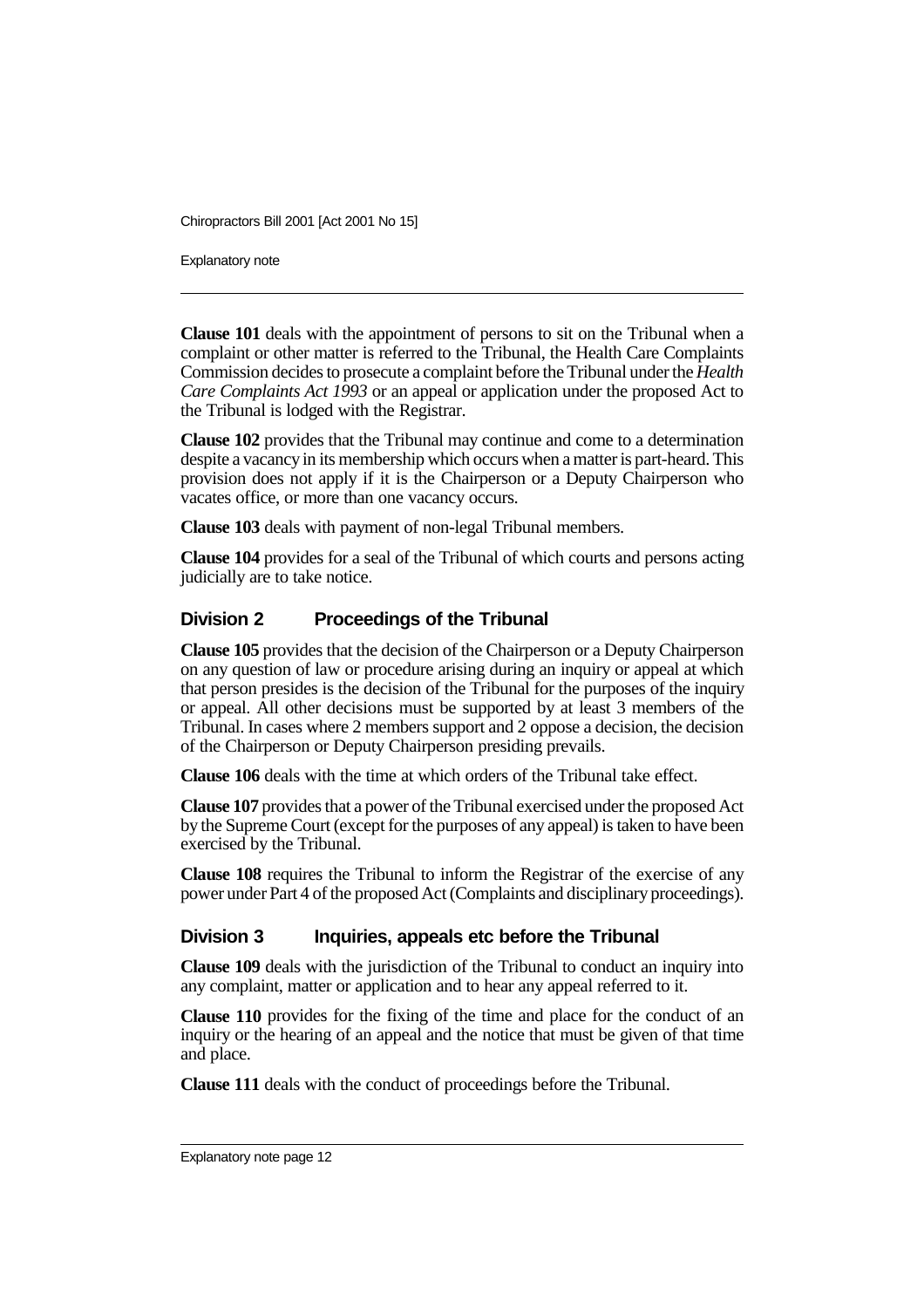Explanatory note

**Clause 101** deals with the appointment of persons to sit on the Tribunal when a complaint or other matter is referred to the Tribunal, the Health Care Complaints Commission decides to prosecute a complaint before the Tribunal under the *Health Care Complaints Act 1993* or an appeal or application under the proposed Act to the Tribunal is lodged with the Registrar.

**Clause 102** provides that the Tribunal may continue and come to a determination despite a vacancy in its membership which occurs when a matter is part-heard. This provision does not apply if it is the Chairperson or a Deputy Chairperson who vacates office, or more than one vacancy occurs.

**Clause 103** deals with payment of non-legal Tribunal members.

**Clause 104** provides for a seal of the Tribunal of which courts and persons acting judicially are to take notice.

## **Division 2 Proceedings of the Tribunal**

**Clause 105** provides that the decision of the Chairperson or a Deputy Chairperson on any question of law or procedure arising during an inquiry or appeal at which that person presides is the decision of the Tribunal for the purposes of the inquiry or appeal. All other decisions must be supported by at least 3 members of the Tribunal. In cases where 2 members support and 2 oppose a decision, the decision of the Chairperson or Deputy Chairperson presiding prevails.

**Clause 106** deals with the time at which orders of the Tribunal take effect.

**Clause 107** provides that a power of the Tribunal exercised under the proposed Act by the Supreme Court (except for the purposes of any appeal) is taken to have been exercised by the Tribunal.

**Clause 108** requires the Tribunal to inform the Registrar of the exercise of any power under Part 4 of the proposed Act (Complaints and disciplinary proceedings).

#### **Division 3 Inquiries, appeals etc before the Tribunal**

**Clause 109** deals with the jurisdiction of the Tribunal to conduct an inquiry into any complaint, matter or application and to hear any appeal referred to it.

**Clause 110** provides for the fixing of the time and place for the conduct of an inquiry or the hearing of an appeal and the notice that must be given of that time and place.

**Clause 111** deals with the conduct of proceedings before the Tribunal.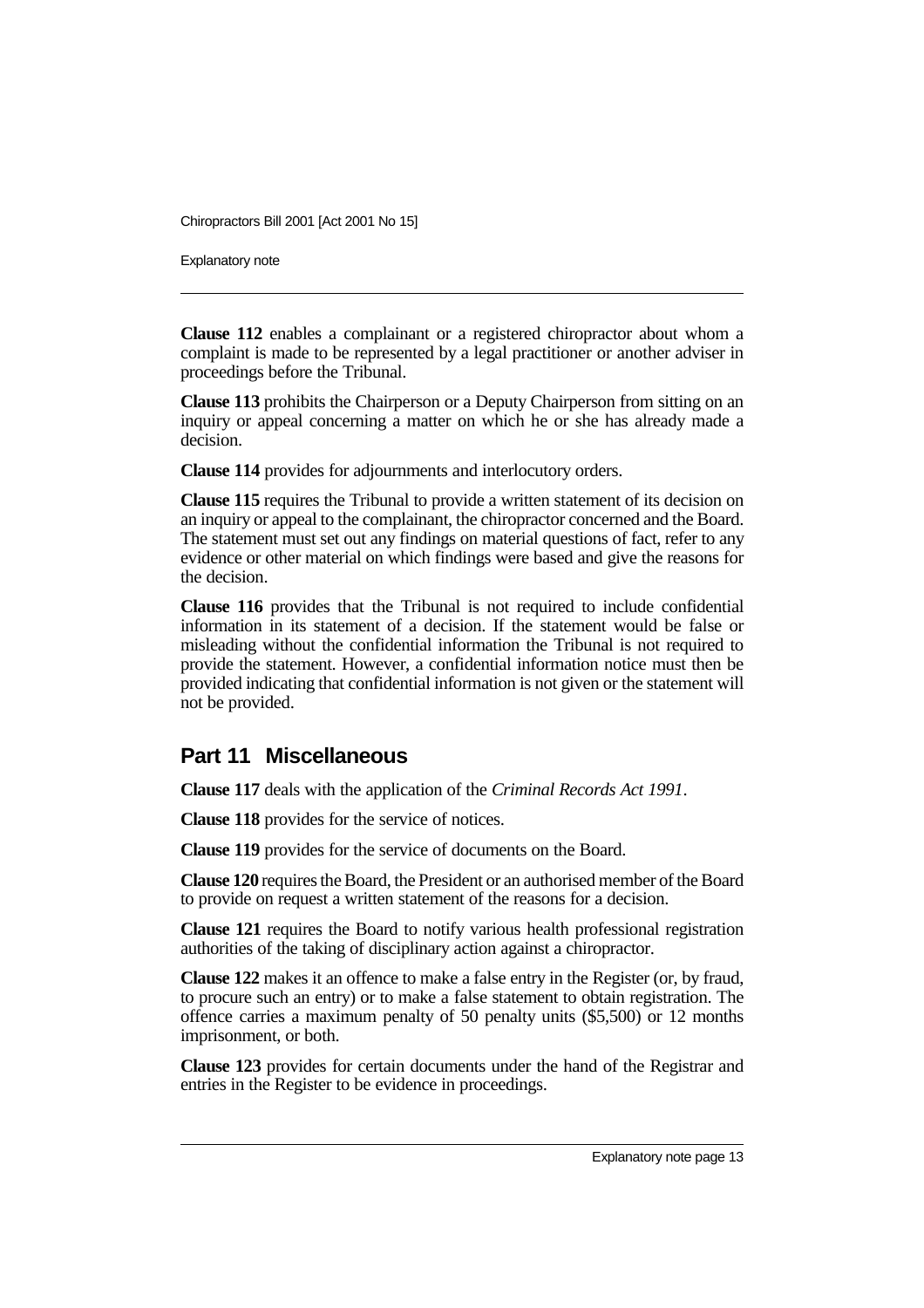Explanatory note

**Clause 112** enables a complainant or a registered chiropractor about whom a complaint is made to be represented by a legal practitioner or another adviser in proceedings before the Tribunal.

**Clause 113** prohibits the Chairperson or a Deputy Chairperson from sitting on an inquiry or appeal concerning a matter on which he or she has already made a decision.

**Clause 114** provides for adjournments and interlocutory orders.

**Clause 115** requires the Tribunal to provide a written statement of its decision on an inquiry or appeal to the complainant, the chiropractor concerned and the Board. The statement must set out any findings on material questions of fact, refer to any evidence or other material on which findings were based and give the reasons for the decision.

**Clause 116** provides that the Tribunal is not required to include confidential information in its statement of a decision. If the statement would be false or misleading without the confidential information the Tribunal is not required to provide the statement. However, a confidential information notice must then be provided indicating that confidential information is not given or the statement will not be provided.

# **Part 11 Miscellaneous**

**Clause 117** deals with the application of the *Criminal Records Act 1991*.

**Clause 118** provides for the service of notices.

**Clause 119** provides for the service of documents on the Board.

**Clause 120** requires the Board, the President or an authorised member of the Board to provide on request a written statement of the reasons for a decision.

**Clause 121** requires the Board to notify various health professional registration authorities of the taking of disciplinary action against a chiropractor.

**Clause 122** makes it an offence to make a false entry in the Register (or, by fraud, to procure such an entry) or to make a false statement to obtain registration. The offence carries a maximum penalty of 50 penalty units (\$5,500) or 12 months imprisonment, or both.

**Clause 123** provides for certain documents under the hand of the Registrar and entries in the Register to be evidence in proceedings.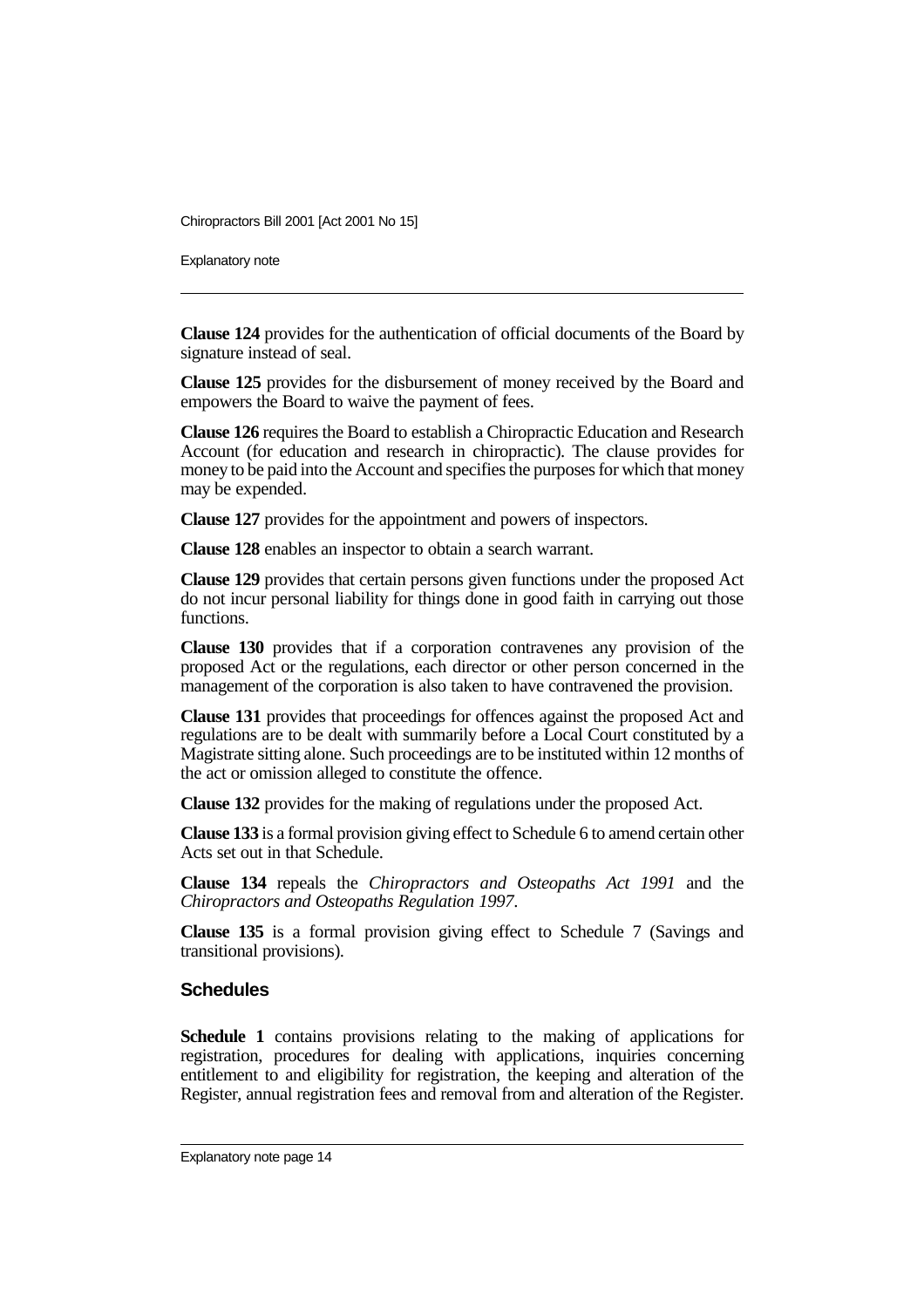Explanatory note

**Clause 124** provides for the authentication of official documents of the Board by signature instead of seal.

**Clause 125** provides for the disbursement of money received by the Board and empowers the Board to waive the payment of fees.

**Clause 126** requires the Board to establish a Chiropractic Education and Research Account (for education and research in chiropractic). The clause provides for money to be paid into the Account and specifies the purposes for which that money may be expended.

**Clause 127** provides for the appointment and powers of inspectors.

**Clause 128** enables an inspector to obtain a search warrant.

**Clause 129** provides that certain persons given functions under the proposed Act do not incur personal liability for things done in good faith in carrying out those functions.

**Clause 130** provides that if a corporation contravenes any provision of the proposed Act or the regulations, each director or other person concerned in the management of the corporation is also taken to have contravened the provision.

**Clause 131** provides that proceedings for offences against the proposed Act and regulations are to be dealt with summarily before a Local Court constituted by a Magistrate sitting alone. Such proceedings are to be instituted within 12 months of the act or omission alleged to constitute the offence.

**Clause 132** provides for the making of regulations under the proposed Act.

**Clause 133** is a formal provision giving effect to Schedule 6 to amend certain other Acts set out in that Schedule.

**Clause 134** repeals the *Chiropractors and Osteopaths Act 1991* and the *Chiropractors and Osteopaths Regulation 1997*.

**Clause 135** is a formal provision giving effect to Schedule 7 (Savings and transitional provisions).

#### **Schedules**

**Schedule 1** contains provisions relating to the making of applications for registration, procedures for dealing with applications, inquiries concerning entitlement to and eligibility for registration, the keeping and alteration of the Register, annual registration fees and removal from and alteration of the Register.